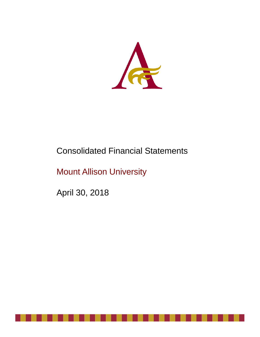

# Consolidated Financial Statements

Mount Allison University

April 30, 2018

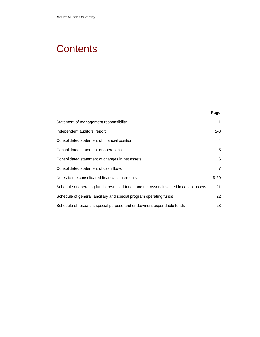# **Contents**

|                                                                                         | Page           |
|-----------------------------------------------------------------------------------------|----------------|
| Statement of management responsibility                                                  |                |
| Independent auditors' report                                                            | $2 - 3$        |
| Consolidated statement of financial position                                            | 4              |
| Consolidated statement of operations                                                    | 5              |
| Consolidated statement of changes in net assets                                         | 6              |
| Consolidated statement of cash flows                                                    | $\overline{7}$ |
| Notes to the consolidated financial statements                                          | $8 - 20$       |
| Schedule of operating funds, restricted funds and net assets invested in capital assets | 21             |
| Schedule of general, ancillary and special program operating funds                      | 22             |
| Schedule of research, special purpose and endowment expendable funds                    | 23             |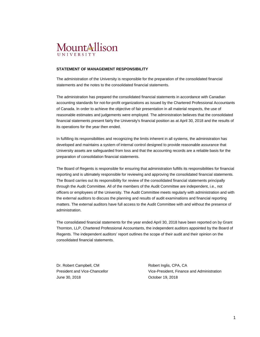

#### **STATEMENT OF MANAGEMENT RESPONSIBILITY**

The administration of the University is responsible for the preparation of the consolidated financial statements and the notes to the consolidated financial statements.

The administration has prepared the consolidated financial statements in accordance with Canadian accounting standards for not-for-profit organizations as issued by the Chartered Professional Accountants of Canada. In order to achieve the objective of fair presentation in all material respects, the use of reasonable estimates and judgements were employed. The administration believes that the consolidated financial statements present fairly the University's financial position as at April 30, 2018 and the results of its operations for the year then ended.

In fulfilling its responsibilities and recognizing the limits inherent in all systems, the administration has developed and maintains a system of internal control designed to provide reasonable assurance that University assets are safeguarded from loss and that the accounting records are a reliable basis for the preparation of consolidation financial statements.

The Board of Regents is responsible for ensuring that administration fulfills its responsibilities for financial reporting and is ultimately responsible for reviewing and approving the consolidated financial statements. The Board carries out its responsibility for review of the consolidated financial statements principally through the Audit Committee. All of the members of the Audit Committee are independent, i.e., not officers or employees of the University. The Audit Committee meets regularly with administration and with the external auditors to discuss the planning and results of audit examinations and financial reporting matters. The external auditors have full access to the Audit Committee with and without the presence of administration.

The consolidated financial statements for the year ended April 30, 2018 have been reported on by Grant Thornton, LLP, Chartered Professional Accountants, the independent auditors appointed by the Board of Regents. The independent auditors' report outlines the scope of their audit and their opinion on the consolidated financial statements.

Dr. Robert Campbell, CM Robert Inglis, CPA, CA June 30, 2018 October 19, 2018

President and Vice-Chancellor Vice-President, Finance and Administration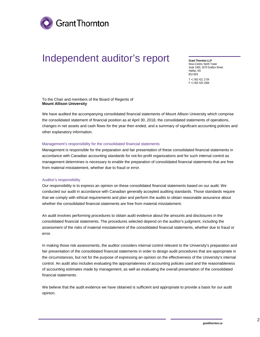

# Independent auditor's report

**Grant Thornton LLP** Nova Centre, North Tower Suite 1000, 1675 Grafton Street Halifax, NS B3J 0E9 T +1 902 421 1734 F +1 902 420 1068

To the Chair and members of the Board of Regents of **Mount Allison University**

We have audited the accompanying consolidated financial statements of Mount Allison University which comprise the consolidated statement of financial position as at April 30, 2018, the consolidated statements of operations, changes in net assets and cash flows for the year then ended, and a summary of significant accounting policies and other explanatory information.

#### Management's responsibility for the consolidated financial statements

Management is responsible for the preparation and fair presentation of these consolidated financial statements in accordance with Canadian accounting standards for not-for-profit organizations and for such internal control as management determines is necessary to enable the preparation of consolidated financial statements that are free from material misstatement, whether due to fraud or error.

#### Auditor's responsibility

Our responsibility is to express an opinion on these consolidated financial statements based on our audit. We conducted our audit in accordance with Canadian generally accepted auditing standards. Those standards require that we comply with ethical requirements and plan and perform the audits to obtain reasonable assurance about whether the consolidated financial statements are free from material misstatement.

An audit involves performing procedures to obtain audit evidence about the amounts and disclosures in the consolidated financial statements. The procedures selected depend on the auditor's judgment, including the assessment of the risks of material misstatement of the consolidated financial statements, whether due to fraud or error.

In making those risk assessments, the auditor considers internal control relevant to the University's preparation and fair presentation of the consolidated financial statements in order to design audit procedures that are appropriate in the circumstances, but not for the purpose of expressing an opinion on the effectiveness of the University's internal control. An audit also includes evaluating the appropriateness of accounting policies used and the reasonableness of accounting estimates made by management, as well as evaluating the overall presentation of the consolidated financial statements.

We believe that the audit evidence we have obtained is sufficient and appropriate to provide a basis for our audit opinion.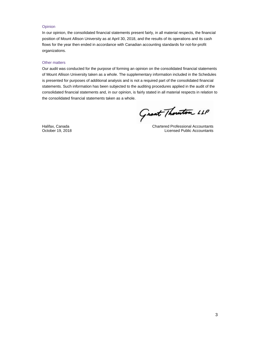#### Opinion

In our opinion, the consolidated financial statements present fairly, in all material respects, the financial position of Mount Allison University as at April 30, 2018, and the results of its operations and its cash flows for the year then ended in accordance with Canadian accounting standards for not-for-profit organizations.

#### Other matters

Our audit was conducted for the purpose of forming an opinion on the consolidated financial statements of Mount Allison University taken as a whole. The supplementary information included in the Schedules is presented for purposes of additional analysis and is not a required part of the consolidated financial statements. Such information has been subjected to the auditing procedures applied in the audit of the consolidated financial statements and, in our opinion, is fairly stated in all material respects in relation to the consolidated financial statements taken as a whole.

Grant Thouton LLP

Halifax, Canada Chartered Professional Accountants Licensed Public Accountants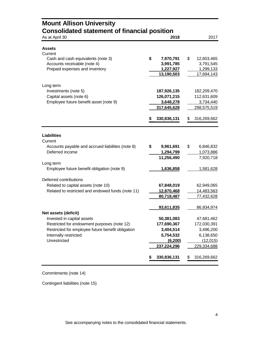| <b>Consolidated statement of financial position</b> |                   |                   |
|-----------------------------------------------------|-------------------|-------------------|
| As at April 30                                      | 2018              | 2017              |
| Assets                                              |                   |                   |
| Current                                             |                   |                   |
| Cash and cash equivalents (note 3)                  | \$<br>7,970,791   | \$<br>12,603,465  |
| Accounts receivable (note 4)                        | 3,991,785         | 3,791,545         |
| Prepaid expenses and inventory                      | 1,227,927         | 1,299,133         |
|                                                     | 13,190,503        | 17,694,143        |
| Long term                                           |                   |                   |
| Investments (note 5)                                | 187,926,135       | 182,209,470       |
| Capital assets (note 6)                             | 126,071,215       | 112,631,609       |
| Employee future benefit asset (note 9)              | 3,648,278         | 3,734,440         |
|                                                     | 317,645,628       | 298,575,519       |
|                                                     | 330,836,131<br>\$ | 316,269,662<br>\$ |
| <b>Liabilities</b>                                  |                   |                   |
| Current                                             |                   |                   |
| Accounts payable and accrued liabilities (note 8)   | \$<br>9,961,691   | \$<br>6,846,832   |
| Deferred income                                     | 1,294,799         | 1,073,886         |
|                                                     | 11,256,490        | 7,920,718         |
| Long term                                           |                   |                   |
| Employee future benefit obligation (note 9)         | 1,636,858         | 1,581,628         |
| Deferred contributions                              |                   |                   |
| Related to capital assets (note 10)                 | 67,848,019        | 62,949,065        |
| Related to restricted and endowed funds (note 11)   | 12,870,468        | 14,483,563        |
|                                                     | 80,718,487        | 77,432,628        |
|                                                     | 93,611,835        | 86,934,974        |
| Net assets (deficit)                                |                   |                   |
| Invested in capital assets                          | 50,381,083        | 47,681,462        |
| Restricted for endowment purposes (note 12)         | 177,690,367       | 172,030,391       |
| Restricted for employee future benefit obligation   | 3,404,514         | 3,496,200         |
| Internally restricted                               | 5,754,532         | 6,138,650         |
| Unrestricted                                        | (6, 200)          | (12,015)          |
|                                                     | 237,224,296       | 229,334,688       |
|                                                     | 330,836,131<br>\$ | \$<br>316,269,662 |

# Commitments (note 14)

Contingent liabilities (note 15)

**Mount Allison University**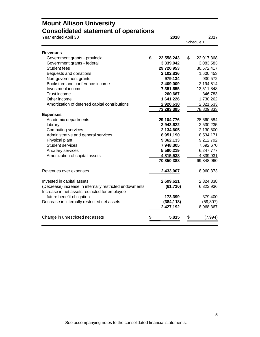# **Mount Allison University Consolidated statement of operations**

| Year ended April 30                                     | 2018             | 2017             |
|---------------------------------------------------------|------------------|------------------|
|                                                         |                  | Schedule 1       |
| <b>Revenues</b>                                         |                  |                  |
| Government grants - provincial                          | \$<br>22,558,243 | \$<br>22,017,368 |
| Government grants - federal                             | 3,339,042        | 3,083,583        |
| <b>Student fees</b>                                     | 29,720,953       | 30,572,417       |
| Bequests and donations                                  | 2,102,836        | 1,600,453        |
| Non-government grants                                   | 979,134          | 930,572          |
| Bookstore and conference income                         | 2,409,009        | 2,194,514        |
| Investment income                                       | 7,351,655        | 13,511,848       |
| <b>Trust income</b>                                     | 260,667          | 346,783          |
| Other income                                            | 1,641,226        | 1,730,262        |
| Amortization of deferred capital contributions          | 2,920,630        | 2,821,533        |
|                                                         | 73,283,395       | 78,809,333       |
| <b>Expenses</b>                                         |                  |                  |
| Academic departments                                    | 29,104,776       | 28,660,584       |
| Library                                                 | 2,943,622        | 2,530,235        |
| <b>Computing services</b>                               | 2,134,605        | 2,130,800        |
| Administrative and general services                     | 8,951,190        | 8,534,171        |
| Physical plant                                          | 9,362,133        | 9,212,792        |
| <b>Student services</b>                                 | 7,948,305        | 7,692,670        |
| Ancillary services                                      | 5,590,219        | 6,247,777        |
| Amortization of capital assets                          | 4,815,538        | 4,839,931        |
|                                                         | 70,850,388       | 69,848,960       |
| Revenues over expenses                                  | 2,433,007        | 8,960,373        |
| Invested in capital assets                              | 2,699,621        | 2,324,338        |
| (Decrease) increase in internally restricted endowments | (61, 710)        | 6,323,936        |
| Increase in net assets restricted for employee          |                  |                  |
| future benefit obligation                               | 173,399          | 379,400          |
| Decrease in internally restricted net assets            | (384, 118)       | (59, 307)        |
|                                                         | 2,427,192        | 8,968,367        |
| Change in unrestricted net assets                       | \$<br>5,815      | \$<br>(7,994)    |
|                                                         |                  |                  |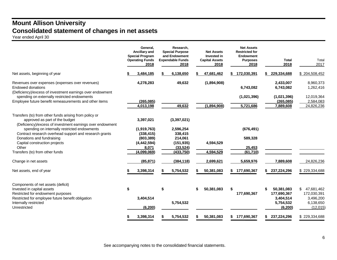# **Mount Allison University Consolidated statement of changes in net assets**

Year ended April 30

|                                                                                                                                                       | General.<br>Ancillary and<br><b>Special Program</b><br><b>Operating Funds</b><br>2018 | Research,<br><b>Special Purpose</b><br>and Endowment<br><b>Expendable Funds</b><br>2018 | <b>Net Assets</b><br>Invested in<br><b>Capital Assets</b><br>2018 | <b>Net Assets</b><br><b>Restricted for</b><br><b>Endowment</b><br><b>Purposes</b><br>2018 | <b>Total</b><br>2018              | Total<br>2017                      |
|-------------------------------------------------------------------------------------------------------------------------------------------------------|---------------------------------------------------------------------------------------|-----------------------------------------------------------------------------------------|-------------------------------------------------------------------|-------------------------------------------------------------------------------------------|-----------------------------------|------------------------------------|
| Net assets, beginning of year                                                                                                                         | 3,484,185                                                                             | 6,138,650                                                                               | 47,681,462                                                        | 172,030,391                                                                               | 229,334,688                       | \$204,508,452                      |
| Revenues over expenses (expenses over revenues)<br>Endowed donations<br>(Deficiency)/excess of investment earnings over endowment                     | 4,278,283                                                                             | 49,632                                                                                  | (1,894,908)                                                       | 6,743,082                                                                                 | 2,433,007<br>6,743,082            | 8,960,373<br>1,262,416             |
| spending on externally restricted endowments<br>Employee future benefit remeasurements and other items                                                | (265, 085)                                                                            |                                                                                         |                                                                   | (1,021,396)                                                                               | (1,021,396)<br>(265, 085)         | 12,019,364<br>2,584,083            |
|                                                                                                                                                       | 4,013,198                                                                             | 49,632                                                                                  | (1,894,908)                                                       | 5,721,686                                                                                 | 7,889,608                         | 24,826,236                         |
| Transfers (to) from other funds arising from policy or<br>approved as part of the budget<br>(Deficiency)/excess of investment earnings over endowment | 3,397,021                                                                             | (3,397,021)                                                                             |                                                                   |                                                                                           |                                   |                                    |
| spending on internally restricted endowments<br>Contract research overhead support and research grants                                                | (1,919,763)<br>(338, 415)                                                             | 2,596,254<br>338,415                                                                    |                                                                   | (676, 491)                                                                                |                                   |                                    |
| Donations and fundraising                                                                                                                             | (803, 389)                                                                            | 214,061                                                                                 |                                                                   | 589,328                                                                                   |                                   |                                    |
| Capital construction projects<br>Other                                                                                                                | (4, 442, 594)<br>8,071                                                                | (151, 935)<br>(33, 524)                                                                 | 4,594,529                                                         | 25,453                                                                                    |                                   |                                    |
| Transfers (to) from other funds                                                                                                                       | (4,099,069)                                                                           | (433,750)                                                                               | 4,594,529                                                         | (61, 710)                                                                                 |                                   |                                    |
| Change in net assets                                                                                                                                  | (85, 871)                                                                             | (384, 118)                                                                              | 2,699,621                                                         | 5,659,976                                                                                 | 7,889,608                         | 24,826,236                         |
| Net assets, end of year                                                                                                                               | 3,398,314                                                                             | 5,754,532<br>S                                                                          | 50,381,083                                                        | 177,690,367                                                                               | 237,224,296<br>S.                 | \$229,334,688                      |
| Components of net assets (deficit)<br>Invested in capital assets<br>Restricted for endowment purposes                                                 | \$                                                                                    | \$                                                                                      | 50,381,083<br>\$                                                  | \$<br>177,690,367                                                                         | 50,381,083<br>\$<br>177,690,367   | 47,681,462<br>\$<br>172,030,391    |
| Restricted for employee future benefit obligation<br>Internally restricted<br>Unrestricted                                                            | 3,404,514<br>(6, 200)                                                                 | 5,754,532                                                                               |                                                                   |                                                                                           | 3,404,514<br>5,754,532<br>(6,200) | 3,496,200<br>6,138,650<br>(12,015) |
|                                                                                                                                                       | 3,398,314                                                                             | 5,754,532                                                                               | 50,381,083                                                        | 177,690,367                                                                               | \$ 237,224,296                    | \$229,334,688                      |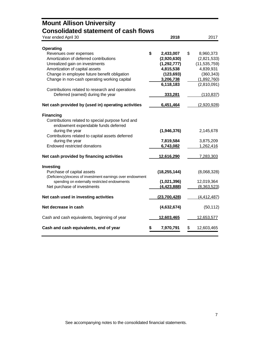| <b>Mount Allison University</b>                                                                                                 |                 |                  |
|---------------------------------------------------------------------------------------------------------------------------------|-----------------|------------------|
| <b>Consolidated statement of cash flows</b><br>Year ended April 30                                                              | 2018            | 2017             |
| <b>Operating</b>                                                                                                                |                 |                  |
| Revenues over expenses                                                                                                          | \$<br>2,433,007 | \$<br>8,960,373  |
| Amortization of deferred contributions                                                                                          | (2,920,630)     | (2,821,533)      |
| Unrealized gain on investments                                                                                                  | (1, 292, 777)   | (11, 535, 759)   |
| Amortization of capital assets                                                                                                  | 4,815,538       | 4,839,931        |
| Change in employee future benefit obligation                                                                                    | (123, 693)      | (360, 343)       |
| Change in non-cash operating working capital                                                                                    | 3,206,738       | (1,892,760)      |
|                                                                                                                                 | 6,118,183       | (2,810,091)      |
| Contributions related to research and operations                                                                                |                 |                  |
| Deferred (earned) during the year                                                                                               | 333,281         | (110, 837)       |
| Net cash provided by (used in) operating activities                                                                             | 6,451,464       | (2,920,928)      |
| <b>Financing</b><br>Contributions related to special purpose fund and<br>endowment expendable funds deferred<br>during the year | (1,946,376)     | 2,145,678        |
| Contributions related to capital assets deferred                                                                                |                 |                  |
| during the year                                                                                                                 | 7,819,584       | 3,875,209        |
| Endowed restricted donations                                                                                                    | 6,743,082       | 1,262,416        |
| Net cash provided by financing activities                                                                                       | 12,616,290      | 7,283,303        |
| Investing                                                                                                                       |                 |                  |
| Purchase of capital assets<br>(Deficiency)/excess of investment earnings over endowment                                         | (18, 255, 144)  | (8,068,328)      |
| spending on externally restricted endowments                                                                                    | (1,021,396)     | 12,019,364       |
| Net purchase of investments                                                                                                     | (4, 423, 888)   | (8,363,523)      |
| Net cash used in investing activities                                                                                           | (23,700,428)    | (4, 412, 487)    |
| Net decrease in cash                                                                                                            | (4,632,674)     | (50, 112)        |
| Cash and cash equivalents, beginning of year                                                                                    | 12,603,465      | 12,653,577       |
| Cash and cash equivalents, end of year                                                                                          | 7,970,791       | \$<br>12,603,465 |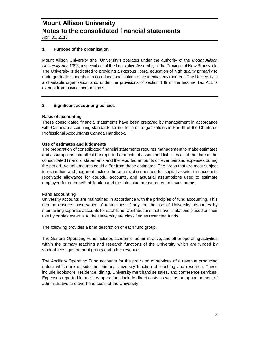April 30, 2018

# **1. Purpose of the organization**

Mount Allison University (the "University") operates under the authority of the *Mount Allison University Act*, 1993, a special act of the Legislative Assembly of the Province of New Brunswick. The University is dedicated to providing a rigorous liberal education of high quality primarily to undergraduate students in a co-educational, intimate, residential environment. The University is a charitable organization and, under the provisions of section 149 of the Income Tax Act, is exempt from paying income taxes.

# **2. Significant accounting policies**

# **Basis of accounting**

These consolidated financial statements have been prepared by management in accordance with Canadian accounting standards for not-for-profit organizations in Part III of the Chartered Professional Accountants Canada Handbook.

### **Use of estimates and judgments**

The preparation of consolidated financial statements requires management to make estimates and assumptions that affect the reported amounts of assets and liabilities as of the date of the consolidated financial statements and the reported amounts of revenues and expenses during the period. Actual amounts could differ from those estimates. The areas that are most subject to estimation and judgment include the amortization periods for capital assets, the accounts receivable allowance for doubtful accounts, and actuarial assumptions used to estimate employee future benefit obligation and the fair value measurement of investments.

#### **Fund accounting**

University accounts are maintained in accordance with the principles of fund accounting. This method ensures observance of restrictions, if any, on the use of University resources by maintaining separate accounts for each fund. Contributions that have limitations placed on their use by parties external to the University are classified as restricted funds.

The following provides a brief description of each fund group:

The General Operating Fund includes academic, administrative, and other operating activities within the primary teaching and research functions of the University which are funded by student fees, government grants and other revenue.

The Ancillary Operating Fund accounts for the provision of services of a revenue producing nature which are outside the primary University function of teaching and research. These include bookstore, residence, dining, University merchandise sales, and conference services. Expenses reported in ancillary operations include direct costs as well as an apportionment of administrative and overhead costs of the University.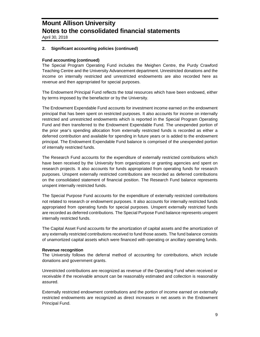April 30, 2018

# **2. Significant accounting policies (continued)**

# **Fund accounting (continued)**

The Special Program Operating Fund includes the Meighen Centre, the Purdy Crawford Teaching Centre and the University Advancement department. Unrestricted donations and the income on internally restricted and unrestricted endowments are also recorded here as revenue and then appropriated for special purposes.

The Endowment Principal Fund reflects the total resources which have been endowed, either by terms imposed by the benefactor or by the University.

The Endowment Expendable Fund accounts for investment income earned on the endowment principal that has been spent on restricted purposes. It also accounts for income on internally restricted and unrestricted endowments which is reported in the Special Program Operating Fund and then transferred to the Endowment Expendable Fund. The unexpended portion of the prior year's spending allocation from externally restricted funds is recorded as either a deferred contribution and available for spending in future years or is added to the endowment principal. The Endowment Expendable Fund balance is comprised of the unexpended portion of internally restricted funds.

The Research Fund accounts for the expenditure of externally restricted contributions which have been received by the University from organizations or granting agencies and spent on research projects. It also accounts for funds appropriated from operating funds for research purposes. Unspent externally restricted contributions are recorded as deferred contributions on the consolidated statement of financial position. The Research Fund balance represents unspent internally restricted funds.

The Special Purpose Fund accounts for the expenditure of externally restricted contributions not related to research or endowment purposes. It also accounts for internally restricted funds appropriated from operating funds for special purposes. Unspent externally restricted funds are recorded as deferred contributions. The Special Purpose Fund balance represents unspent internally restricted funds.

The Capital Asset Fund accounts for the amortization of capital assets and the amortization of any externally restricted contributions received to fund those assets. The fund balance consists of unamortized capital assets which were financed with operating or ancillary operating funds.

#### **Revenue recognition**

The University follows the deferral method of accounting for contributions, which include donations and government grants.

Unrestricted contributions are recognized as revenue of the Operating Fund when received or receivable if the receivable amount can be reasonably estimated and collection is reasonably assured.

Externally restricted endowment contributions and the portion of income earned on externally restricted endowments are recognized as direct increases in net assets in the Endowment Principal Fund.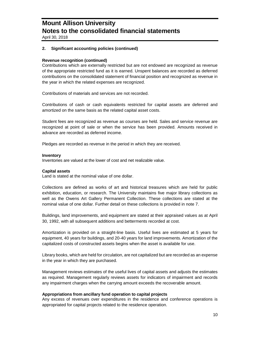April 30, 2018

### **2. Significant accounting policies (continued)**

#### **Revenue recognition (continued)**

Contributions which are externally restricted but are not endowed are recognized as revenue of the appropriate restricted fund as it is earned. Unspent balances are recorded as deferred contributions on the consolidated statement of financial position and recognized as revenue in the year in which the related expenses are recognized.

Contributions of materials and services are not recorded.

Contributions of cash or cash equivalents restricted for capital assets are deferred and amortized on the same basis as the related capital asset costs.

Student fees are recognized as revenue as courses are held. Sales and service revenue are recognized at point of sale or when the service has been provided. Amounts received in advance are recorded as deferred income.

Pledges are recorded as revenue in the period in which they are received.

#### **Inventory**

Inventories are valued at the lower of cost and net realizable value.

#### **Capital assets**

Land is stated at the nominal value of one dollar.

Collections are defined as works of art and historical treasures which are held for public exhibition, education, or research. The University maintains five major library collections as well as the Owens Art Gallery Permanent Collection. These collections are stated at the nominal value of one dollar. Further detail on these collections is provided in note 7.

Buildings, land improvements, and equipment are stated at their appraised values as at April 30, 1992, with all subsequent additions and betterments recorded at cost.

Amortization is provided on a straight-line basis. Useful lives are estimated at 5 years for equipment, 40 years for buildings, and 20-40 years for land improvements. Amortization of the capitalized costs of constructed assets begins when the asset is available for use.

Library books, which are held for circulation, are not capitalized but are recorded as an expense in the year in which they are purchased.

Management reviews estimates of the useful lives of capital assets and adjusts the estimates as required. Management regularly reviews assets for indicators of impairment and records any impairment charges when the carrying amount exceeds the recoverable amount.

# **Appropriations from ancillary fund operation to capital projects**

Any excess of revenues over expenditures in the residence and conference operations is appropriated for capital projects related to the residence operation.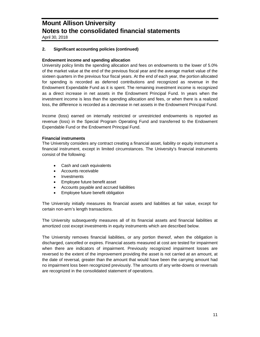April 30, 2018

# **2. Significant accounting policies (continued)**

### **Endowment income and spending allocation**

University policy limits the spending allocation and fees on endowments to the lower of 5.0% of the market value at the end of the previous fiscal year and the average market value of the sixteen quarters in the previous four fiscal years. At the end of each year, the portion allocated for spending is recorded as deferred contributions and recognized as revenue in the Endowment Expendable Fund as it is spent. The remaining investment income is recognized as a direct increase in net assets in the Endowment Principal Fund. In years when the investment income is less than the spending allocation and fees, or when there is a realized loss, the difference is recorded as a decrease in net assets in the Endowment Principal Fund.

Income (loss) earned on internally restricted or unrestricted endowments is reported as revenue (loss) in the Special Program Operating Fund and transferred to the Endowment Expendable Fund or the Endowment Principal Fund.

### **Financial instruments**

The University considers any contract creating a financial asset, liability or equity instrument a financial instrument, except in limited circumstances. The University's financial instruments consist of the following:

- Cash and cash equivalents
- Accounts receivable
- Investments
- Employee future benefit asset
- Accounts payable and accrued liabilities
- Employee future benefit obligation

The University initially measures its financial assets and liabilities at fair value, except for certain non-arm's length transactions.

The University subsequently measures all of its financial assets and financial liabilities at amortized cost except investments in equity instruments which are described below.

The University removes financial liabilities, or any portion thereof, when the obligation is discharged, cancelled or expires. Financial assets measured at cost are tested for impairment when there are indicators of impairment. Previously recognized impairment losses are reversed to the extent of the improvement providing the asset is not carried at an amount, at the date of reversal, greater than the amount that would have been the carrying amount had no impairment loss been recognized previously. The amounts of any write-downs or reversals are recognized in the consolidated statement of operations.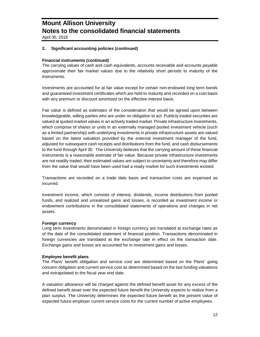April 30, 2018

# **2. Significant accounting policies (continued)**

### **Financial instruments (continued)**

The carrying values of cash and cash equivalents, accounts receivable and accounts payable approximate their fair market values due to the relatively short periods to maturity of the instruments.

Investments are accounted for at fair value except for certain non-endowed long term bonds and guaranteed investment certificates which are held to maturity and recorded on a cost basis with any premium or discount amortized on the effective interest basis.

Fair value is defined as estimates of the consideration that would be agreed upon between knowledgeable, willing parties who are under no obligation to act. Publicly traded securities are valued at quoted market values in an actively traded market. Private infrastructure investments, which comprise of shares or units in an externally managed pooled investment vehicle (such as a limited partnership) with underlying investments in private infrastructure assets are valued based on the latest valuation provided by the external investment manager of the fund, adjusted for subsequent cash receipts and distributions from the fund, and cash disbursements to the fund through April 30. The University believes that the carrying amount of these financial instruments is a reasonable estimate of fair value. Because private infrastructure investments are not readily traded, their estimated values are subject to uncertainty and therefore may differ from the value that would have been used had a ready market for such investments existed.

Transactions are recorded on a trade date basis and transaction costs are expensed as incurred.

Investment income, which consists of interest, dividends, income distributions from pooled funds, and realized and unrealized gains and losses, is recorded as investment income or endowment contributions in the consolidated statements of operations and changes in net assets.

#### **Foreign currency**

Long term investments denominated in foreign currency are translated at exchange rates as of the date of the consolidated statement of financial position. Transactions denominated in foreign currencies are translated at the exchange rate in effect on the transaction date. Exchange gains and losses are accounted for in investment gains and losses.

#### **Employee benefit plans**

The Plans' benefit obligation and service cost are determined based on the Plans' going concern obligation and current service cost as determined based on the last funding valuations and extrapolated to the fiscal year end date.

A valuation allowance will be charged against the defined benefit asset for any excess of the defined benefit asset over the expected future benefit the University expects to realize from a plan surplus. The University determines the expected future benefit as the present value of expected future employer current service costs for the current number of active employees.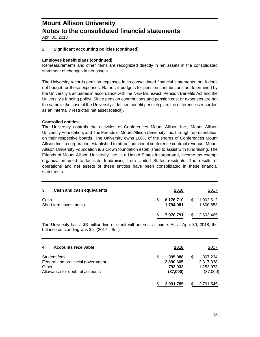April 30, 2018

# **2. Significant accounting policies (continued)**

### **Employee benefit plans (continued)**

Remeasurements and other items are recognized directly in net assets in the consolidated statement of changes in net assets.

The University records pension expenses in its consolidated financial statements, but it does not budget for those expenses. Rather, it budgets for pension contributions as determined by the University's actuaries in accordance with the New Brunswick Pension Benefits Act and the University's funding policy. Since pension contributions and pension cost or expenses are not the same in the case of the University's defined benefit pension plan, the difference is recorded as an internally restricted net asset (deficit).

### **Controlled entities**

The University controls the activities of Conferences Mount Allison Inc., Mount Allison University Foundation, and The Friends of Mount Allison University, Inc. through representation on their respective boards. The University owns 100% of the shares of Conferences Mount Allison Inc., a corporation established to attract additional conference contract revenue. Mount Allison University Foundation is a crown foundation established to assist with fundraising. The Friends of Mount Allison University, Inc. is a United States incorporated, income tax exempt organization used to facilitate fundraising from United States residents. The results of operations and net assets of these entities have been consolidated in these financial statements.

| 3.   | Cash and cash equivalents | 2018      | 2017                                 |
|------|---------------------------|-----------|--------------------------------------|
| Cash | Short term investments    | 1,794,081 | 6,176,710 \$ 11,002,612<br>1,600,853 |
|      |                           | 7,970,791 | \$12,603,465                         |

The University has a \$3 million line of credit with interest at prime. As at April 30, 2018, the balance outstanding was \$nil (2017 – \$nil).

| <b>Accounts receivable</b><br>4.                                                              | 2018                                             |   | 2017                                          |
|-----------------------------------------------------------------------------------------------|--------------------------------------------------|---|-----------------------------------------------|
| Student fees<br>Federal and provincial government<br>Other<br>Allowance for doubtful accounts | 395,088<br>S<br>2,890,665<br>793,032<br>(87,000) | S | 307,234<br>2,317,338<br>1,253,973<br>(87,000) |
|                                                                                               | 3,991,785                                        |   | 3,791,545                                     |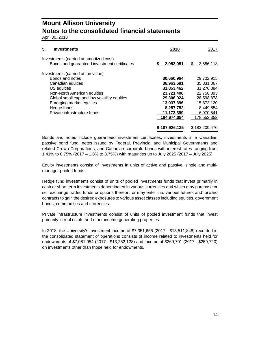April 30, 2018

| 5.<br><b>Investments</b>                                                                | 2018          | 2017             |
|-----------------------------------------------------------------------------------------|---------------|------------------|
| Investments (carried at amortized cost)<br>Bonds and guaranteed investment certificates | 2,952,051     | 3,656,118<br>\$. |
| Investments (carried at fair value)                                                     |               |                  |
| Bonds and notes                                                                         | 30,660,964    | 29.702.915       |
| Canadian equities                                                                       | 36,963,681    | 35,831,067       |
| US equities                                                                             | 31,853,462    | 31,276,384       |
| Non-North American equities                                                             | 23,721,406    | 22,750,893       |
| Global small cap and low volatility equities                                            | 29,306,024    | 28,598,878       |
| Emerging market equities                                                                | 13,037,396    | 15,873,120       |
| Hedge funds                                                                             | 8,257,752     | 8,449,554        |
| Private infrastructure funds                                                            | 11,173,399    | 6,070,541        |
|                                                                                         | 184.974.084   | 178,553,352      |
|                                                                                         | \$187,926,135 | \$182,209,470    |

Bonds and notes include guaranteed investment certificates, investments in a Canadian passive bond fund, notes issued by Federal, Provincial and Municipal Governments and related Crown Corporations, and Canadian corporate bonds with interest rates ranging from 1.41% to 8.75% (2017 – 1.8% to 8.75%) with maturities up to July 2025 (2017 – July 2025).

Equity investments consist of investments in units of active and passive, single and multimanager pooled funds.

Hedge fund investments consist of units of pooled investments funds that invest primarily in cash or short term investments denominated in various currencies and which may purchase or sell exchange traded funds or options thereon, or may enter into various futures and forward contracts to gain the desired exposures to various asset classes including equities, government bonds, commodities and currencies.

Private infrastructure investments consist of units of pooled investment funds that invest primarily in real estate and other income generating properties.

In 2018, the University's investment income of \$7,351,655 (2017 - \$13,511,848) recorded in the consolidated statement of operations consists of income related to investments held for endowments of \$7,081,954 (2017 - \$13,252,128) and income of \$269,701 (2017 - \$259,720) on investments other than those held for endowments.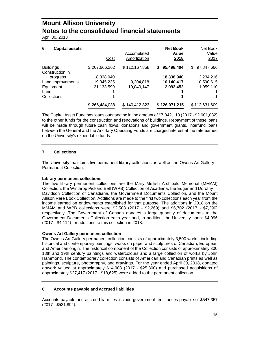April 30, 2018

| 6.<br><b>Capital assets</b>         | Cost          | Accumulated<br>Amortization | <b>Net Book</b><br>Value<br>2018 | Net Book<br>Value<br>2017 |
|-------------------------------------|---------------|-----------------------------|----------------------------------|---------------------------|
| <b>Buildings</b><br>Construction in | \$207,666,262 | \$112,167,858               | 95,498,404<br>S.                 | 97,847,666<br>\$          |
| progress                            | 18,338,940    |                             | 18,338,940                       | 2,234,216                 |
| Land improvements                   | 19,345,235    | 9,204,818                   | 10,140,417                       | 10,590,615                |
| Equipment                           | 21,133,599    | 19,040,147                  | 2,093,452                        | 1,959,110                 |
| Land                                |               |                             |                                  |                           |
| Collections                         |               |                             |                                  |                           |
|                                     | \$266,484,038 | \$140,412,823               | \$126,071,215                    | \$112,631,609             |

The Capital Asset Fund has loans outstanding in the amount of \$7,842,113 (2017 - \$2,001,082) to the other funds for the construction and renovations of buildings. Repayment of these loans will be made through future cash flows, donations and government grants. Interfund loans between the General and the Ancillary Operating Funds are charged interest at the rate earned on the University's expendable funds.

# **7. Collections**

The University maintains five permanent library collections as well as the Owens Art Gallery Permanent Collection.

# **Library permanent collections**

The five library permanent collections are the Mary Mellish Archibald Memorial (MMAM) Collection, the Winthrop Pickard Bell (WPB) Collection of Acadiana, the Edgar and Dorothy Davidson Collection of Canadiana, the Government Documents Collection, and the Mount Allison Rare Book Collection. Additions are made to the first two collections each year from the income earned on endowments established for that purpose. The additions in 2018 on the MMAM and WPB collections were \$2,508 (2017 - \$2,269) and \$6,702 (2017 - \$7,290) respectively. The Government of Canada donates a large quantity of documents to the Government Documents Collection each year and, in addition, the University spent \$4,096 (2017 - \$4,114) for additions to this collection in 2018.

# **Owens Art Gallery permanent collection**

The Owens Art Gallery permanent collection consists of approximately 3,500 works, including historical and contemporary paintings, works on paper and sculptures of Canadian, European and American origin. The historical component of the Collection consists of approximately 300 18th and 19th century paintings and watercolours and a large collection of works by John Hammond. The contemporary collection consists of American and Canadian prints as well as paintings, sculpture, photography, and drawings. For the year ended April 30, 2018, donated artwork valued at approximately \$14,908 (2017 - \$25,800) and purchased acquisitions of approximately \$27,417 (2017 - \$18,625) were added to the permanent collection.

#### **8. Accounts payable and accrued liabilities**

Accounts payable and accrued liabilities include government remittances payable of \$547,357 (2017 - \$521,894).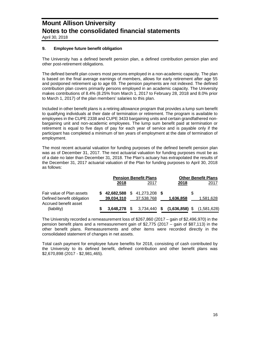April 30, 2018

### **9. Employee future benefit obligation**

The University has a defined benefit pension plan, a defined contribution pension plan and other post-retirement obligations.

The defined benefit plan covers most persons employed in a non-academic capacity. The plan is based on the final average earnings of members, allows for early retirement after age 55 and postponed retirement up to age 69. The pension payments are not indexed. The defined contribution plan covers primarily persons employed in an academic capacity. The University makes contributions of 8.4% (8.25% from March 1, 2017 to February 28, 2018 and 8.0% prior to March 1, 2017) of the plan members' salaries to this plan.

Included in other benefit plans is a retiring allowance program that provides a lump sum benefit to qualifying individuals at their date of termination or retirement. The program is available to employees in the CUPE 2338 and CUPE 3433 bargaining units and certain grandfathered nonbargaining unit and non-academic employees. The lump sum benefit paid at termination or retirement is equal to five days of pay for each year of service and is payable only if the participant has completed a minimum of ten years of employment at the date of termination of employment.

The most recent actuarial valuation for funding purposes of the defined benefit pension plan was as of December 31, 2017. The next actuarial valuation for funding purposes must be as of a date no later than December 31, 2018. The Plan's actuary has extrapolated the results of the December 31, 2017 actuarial valuation of the Plan for funding purposes to April 30, 2018 as follows:

|                                                         | <b>Pension Benefit Plans</b> |  |                                               |  |                                                             | <b>Other Benefit Plans</b> |
|---------------------------------------------------------|------------------------------|--|-----------------------------------------------|--|-------------------------------------------------------------|----------------------------|
|                                                         | 2018                         |  | 2017                                          |  | 2018                                                        | 2017                       |
| Fair value of Plan assets<br>Defined benefit obligation | 39,034,310                   |  | $$42,682,588$ $$41,273,208$ $$$<br>37,538,768 |  | 1,636,858                                                   | 1,581,628                  |
| Accrued benefit asset<br>(liability)                    |                              |  |                                               |  | 3,648,278 \$ 3,734,440 <b>\$ (1,636,858)</b> \$ (1,581,628) |                            |

The University recorded a remeasurement loss of \$267,860 (2017 – gain of \$2,496,970) in the pension benefit plans and a remeasurement gain of \$2,775 (2017 – gain of \$87,113) in the other benefit plans. Remeasurements and other items were recorded directly in the consolidated statement of changes in net assets.

Total cash payment for employee future benefits for 2018, consisting of cash contributed by the University to its defined benefit, defined contribution and other benefit plans was \$2,670,898 (2017 - \$2,981,465).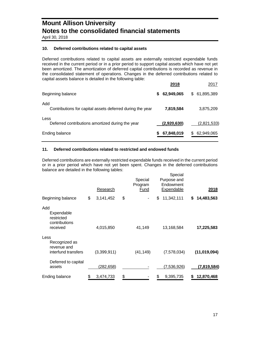April 30, 2018

#### **10. Deferred contributions related to capital assets**

Deferred contributions related to capital assets are externally restricted expendable funds received in the current period or in a prior period to support capital assets which have not yet been amortized. The amortization of deferred capital contributions is recorded as revenue in the consolidated statement of operations. Changes in the deferred contributions related to capital assets balance is detailed in the following table:

|                                                                  | 2018            | 2017              |
|------------------------------------------------------------------|-----------------|-------------------|
| Beginning balance                                                | 62,949,065<br>S | 61,895,389<br>\$. |
| Add<br>Contributions for capital assets deferred during the year | 7,819,584       | 3,875,209         |
| <b>Less</b><br>Deferred contributions amortized during the year  | (2,920,630)     | (2,821,533)       |
| Ending balance                                                   | 67,848,019      | 62,949,065        |

### **11. Deferred contributions related to restricted and endowed funds**

Deferred contributions are externally restricted expendable funds received in the current period or in a prior period which have not yet been spent. Changes in the deferred contributions balance are detailed in the following tables: Special

|                                                              | Research        | Special<br>Program<br><b>Fund</b> | <b>Special</b><br>Purpose and<br>Endowment<br>Expendable |    | 2018         |
|--------------------------------------------------------------|-----------------|-----------------------------------|----------------------------------------------------------|----|--------------|
| Beginning balance                                            | \$<br>3,141,452 | \$                                | \$<br>11,342,111                                         | \$ | 14,483,563   |
| Add<br>Expendable<br>restricted<br>contributions<br>received | 4,015,850       | 41,149                            | 13,168,584                                               |    | 17,225,583   |
| Less<br>Recognized as<br>revenue and<br>interfund transfers  | (3,399,911)     | (41, 149)                         | (7,578,034)                                              |    | (11,019,094) |
| Deferred to capital<br>assets                                | (282, 658)      |                                   | (7,536,926)                                              |    | (7,819,584)  |
| Ending balance                                               | \$<br>3,474,733 | \$                                | \$<br>9,395,735                                          | S  | 12,870,468   |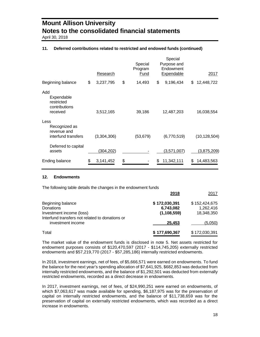April 30, 2018

### **11. Deferred contributions related to restricted and endowed funds (continued)**

|                                                              | Research        | Special<br>Program<br>Fund | Special<br>Purpose and<br>Endowment<br><b>Expendable</b> |    | 2017           |
|--------------------------------------------------------------|-----------------|----------------------------|----------------------------------------------------------|----|----------------|
| Beginning balance                                            | \$<br>3,237,795 | \$<br>14,493               | \$<br>9,196,434                                          | \$ | 12,448,722     |
| Add<br>Expendable<br>restricted<br>contributions<br>received | 3,512,165       | 39,186                     | 12,487,203                                               |    | 16,038,554     |
| Less<br>Recognized as<br>revenue and<br>interfund transfers  | (3,304,306)     | (53, 679)                  | (6,770,519)                                              |    | (10, 128, 504) |
| Deferred to capital<br>assets                                | (304,202)       |                            | (3,571,007)                                              |    | (3,875,209)    |
| Ending balance                                               | \$<br>3,141,452 | \$                         | \$<br>11,342,111                                         | S  | 14,483,563     |

### **12. Endowments**

The following table details the changes in the endowment funds

|                                                                                                               | 2018                                        | 2017                                     |
|---------------------------------------------------------------------------------------------------------------|---------------------------------------------|------------------------------------------|
| Beginning balance<br>Donations<br>Investment income (loss)<br>Interfund transfers not related to donations or | \$172,030,391<br>6,743,082<br>(1, 108, 559) | \$152,424,675<br>1,262,416<br>18.348.350 |
| investment income                                                                                             | 25,453                                      | (5,050)                                  |
| Total                                                                                                         | \$177,690,367                               | \$172,030,391                            |

The market value of the endowment funds is disclosed in note 5. Net assets restricted for endowment purposes consists of \$120,470,597 (2017 - \$114,745,205) externally restricted endowments and \$57,219,770 (2017 - \$57,285,186) internally restricted endowments.

In 2018, investment earnings, net of fees, of \$5,666,571 were earned on endowments. To fund the balance for the next year's spending allocation of \$7,641,925, \$682,853 was deducted from internally restricted endowments, and the balance of \$1,292,501 was deducted from externally restricted endowments, recorded as a direct decrease in endowments.

In 2017, investment earnings, net of fees, of \$24,990,251 were earned on endowments, of which \$7,063,617 was made available for spending, \$6,187,975 was for the preservation of capital on internally restricted endowments, and the balance of \$11,738,659 was for the preservation of capital on externally restricted endowments, which was recorded as a direct increase in endowments.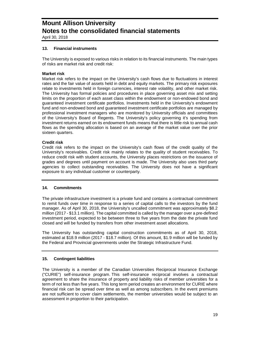April 30, 2018

### **13. Financial instruments**

The University is exposed to various risks in relation to its financial instruments. The main types of risks are market risk and credit risk:

### **Market risk**

Market risk refers to the impact on the University's cash flows due to fluctuations in interest rates and the fair value of assets held in debt and equity markets. The primary risk exposures relate to investments held in foreign currencies, interest rate volatility, and other market risk. The University has formal policies and procedures in place governing asset mix and setting limits on the proportion of each asset class within the endowment or non-endowed bond and guaranteed investment certificate portfolios. Investments held in the University's endowment fund and non-endowed bond and guaranteed investment certificate portfolios are managed by professional investment managers who are monitored by University officials and committees of the University's Board of Regents. The University's policy governing it's spending from investment returns earned on its endowment funds means that there is little risk to annual cash flows as the spending allocation is based on an average of the market value over the prior sixteen quarters.

### **Credit risk**

Credit risk refers to the impact on the University's cash flows of the credit quality of the University's receivables. Credit risk mainly relates to the quality of student receivables. To reduce credit risk with student accounts, the University places restrictions on the issuance of grades and degrees until payment on account is made. The University also uses third party agencies to collect outstanding receivables. The University does not have a significant exposure to any individual customer or counterparty.

# **14. Commitments**

The private infrastructure investment is a private fund and contains a contractual commitment to remit funds over time in response to a series of capital calls to the investors by the fund manager. As of April 30, 2018, the University's uncalled commitment was approximately \$8.2 million (2017 - \$13.1 million). The capital committed is called by the manager over a pre-defined investment period, expected to be between three to five years from the date the private fund closed and will be funded by transfers from other investment asset allocations.

The University has outstanding capital construction commitments as of April 30, 2018, estimated at \$18.9 million (2017 - \$18.7 million). Of this amount, \$1.9 million will be funded by the Federal and Provincial governments under the Strategic Infrastructure Fund.

# **15. Contingent liabilities**

The University is a member of the Canadian Universities Reciprocal Insurance Exchange ("CURIE") self-insurance program. This self-insurance reciprocal involves a contractual agreement to share the insurance of property and liability risks of member universities for a term of not less than five years. This long term period creates an environment for CURIE where financial risk can be spread over time as well as among subscribers. In the event premiums are not sufficient to cover claim settlements, the member universities would be subject to an assessment in proportion to their participation.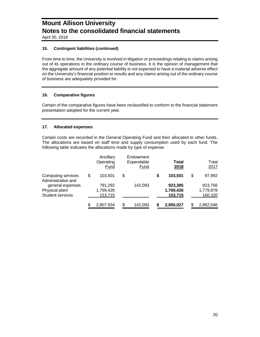April 30, 2018

### **15. Contingent liabilities (continued)**

From time to time, the University is involved in litigation or proceedings relating to claims arising out of its operations in the ordinary course of business. It is the opinion of management that the aggregate amount of any potential liability is not expected to have a material adverse effect on the University's financial position or results and any claims arising out of the ordinary course of business are adequately provided for.

# **16. Comparative figures**

Certain of the comparative figures have been reclassified to conform to the financial statement presentation adopted for the current year.

### **17. Allocated expenses**

Certain costs are recorded in the General Operating Fund and then allocated to other funds. The allocations are based on staff time and supply consumption used by each fund. The following table indicates the allocations made by type of expense.

|                                                               | Ancillary<br>Operating<br>Fund  | Endowment<br>Expendable<br><b>Fund</b> | Total<br>2018                   | Total<br>2017                   |
|---------------------------------------------------------------|---------------------------------|----------------------------------------|---------------------------------|---------------------------------|
| Computing services<br>Administrative and                      | \$<br>103,501                   | \$                                     | \$<br>103,501                   | \$<br>97,992                    |
| general expenses<br>Physical plant<br><b>Student services</b> | 781,292<br>1,769,426<br>153,715 | 142,093                                | 923,385<br>1,769,426<br>153,715 | 823,756<br>1,779,978<br>160,320 |
|                                                               | \$<br>2,807,934                 | \$<br>142,093                          | 2,950,027                       | \$<br>2,862,046                 |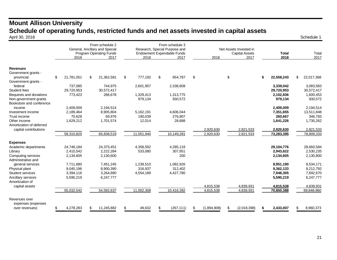# **Mount Allison University Schedule of operating funds, restricted funds and net assets invested in capital assets** April 30, 2018 April 30, 2018 Schedule 1

|                                                                                        | 2018                                 |     | From schedule 2<br>General, Ancillary and Special<br>Program Operating Funds<br>2017 | From schedule 3<br>Research, Special Purpose and<br><b>Endowment Expendable Funds</b><br>2018<br>2017 |                      |    |                             |    | 2018                   | Net Assets Invested in<br><b>Capital Assets</b><br>2017 | <b>Total</b><br>2018 |                                      |     | Total<br>2017                        |  |
|----------------------------------------------------------------------------------------|--------------------------------------|-----|--------------------------------------------------------------------------------------|-------------------------------------------------------------------------------------------------------|----------------------|----|-----------------------------|----|------------------------|---------------------------------------------------------|----------------------|--------------------------------------|-----|--------------------------------------|--|
| <b>Revenues</b><br>Government grants -<br>provincial<br>Government grants -<br>federal | \$<br>21,781,051<br>737,085          | \$. | 21,362,581<br>744,975                                                                | \$                                                                                                    | 777,192<br>2,601,957 | \$ | 654,787                     | \$ |                        | \$                                                      | \$                   | 22,558,243                           | \$. | 22,017,368                           |  |
| Student fees                                                                           | 29,720,953                           |     | 30,572,417                                                                           |                                                                                                       |                      |    | 2,338,608                   |    |                        |                                                         |                      | 3,339,042<br>29,720,953              |     | 3,083,583<br>30,572,417              |  |
| Bequests and donations<br>Non-government grants<br>Bookstore and conference            | 773,423                              |     | 286,678                                                                              |                                                                                                       | 1,329,413<br>979,134 |    | 1,313,775<br>930,572        |    |                        |                                                         |                      | 2,102,836<br>979,134                 |     | 1,600,453<br>930,572                 |  |
| income<br>Investment income                                                            | 2,409,009<br>2,189,464               |     | 2.194.514<br>8,905,804                                                               |                                                                                                       | 5,162,191            |    | 4,606,044                   |    |                        |                                                         |                      | 2,409,009<br>7,351,655               |     | 2,194,514<br>13,511,848              |  |
| Trust income<br>Other income<br>Amortization of deferred                               | 70.628<br>1,629,212                  |     | 69,976<br>1,701,574                                                                  |                                                                                                       | 190,039<br>12,014    |    | 276,807<br>28,688           |    |                        |                                                         |                      | 260.667<br>1,641,226                 |     | 346,783<br>1,730,262                 |  |
| capital contributions                                                                  | 59,310,825                           |     | 65,838,519                                                                           |                                                                                                       | 11,051,940           |    | 10,149,281                  |    | 2,920,630<br>2,920,630 | 2,821,533<br>2,821,533                                  |                      | 2,920,630<br>73,283,395              |     | 2,821,533<br>78,809,333              |  |
| <b>Expenses</b>                                                                        |                                      |     |                                                                                      |                                                                                                       |                      |    |                             |    |                        |                                                         |                      |                                      |     |                                      |  |
| Academic departments<br>Library<br>Computing services                                  | 24,746,184<br>2,410,542<br>2,134,605 |     | 24,375,451<br>2,222,284<br>2,130,600                                                 |                                                                                                       | 4,358,592<br>533,080 |    | 4,285,133<br>307,951<br>200 |    |                        |                                                         |                      | 29,104,776<br>2,943,622<br>2,134,605 |     | 28,660,584<br>2,530,235<br>2,130,800 |  |
| Administrative and<br>general services<br>Physical plant                               | 7,711,680<br>9,045,196               |     | 7,451,245<br>8,900,390                                                               |                                                                                                       | 1.239.510<br>316.937 |    | 1.082.926<br>312.402        |    |                        |                                                         |                      | 8,951,190<br>9,362,133               |     | 8,534,171<br>9,212,792               |  |
| Student services<br>Ancillary services<br>Amortization of                              | 3,394,116<br>5,590,219               |     | 3,264,890<br>6,247,777                                                               |                                                                                                       | 4,554,189            |    | 4,427,780                   |    |                        |                                                         |                      | 7,948,305<br>5,590,219               |     | 7,692,670<br>6,247,777               |  |
| capital assets                                                                         | 55,032,542                           |     | 54,592,637                                                                           |                                                                                                       | 11,002,308           |    | 10,416,392                  |    | 4,815,538<br>4,815,538 | 4.839.931<br>4,839,931                                  |                      | 4,815,538<br>70,850,388              |     | 4,839,931<br>69,848,960              |  |
| Revenues over<br>expenses (expenses<br>over revenues)                                  | 4,278,283                            |     | 11,245,882                                                                           | \$                                                                                                    | 49,632               | \$ | (267, 111)                  | S  | (1,894,908)            | \$<br>(2,018,398)                                       |                      | 2,433,007                            |     | 8,960,373                            |  |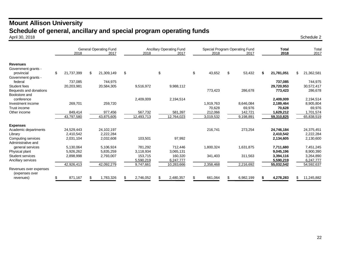# **Mount Allison University Schedule of general, ancillary and special program operating funds** April 30, 2018 April 30, 2018 Schedule 2

|                                          | 2018             | <b>General Operating Fund</b><br>2017 | Ancillary Operating Fund<br>2018<br>2017 |            |    |            |    | 2018      | Special Program Operating Fund<br>2017 | <b>Total</b><br>2018 | Total<br>2017    |    |            |
|------------------------------------------|------------------|---------------------------------------|------------------------------------------|------------|----|------------|----|-----------|----------------------------------------|----------------------|------------------|----|------------|
| <b>Revenues</b>                          |                  |                                       |                                          |            |    |            |    |           |                                        |                      |                  |    |            |
| Government grants -<br>provincial        | \$<br>21,737,399 | \$<br>21,309,149                      | \$                                       |            | \$ |            | \$ | 43,652    | \$                                     | 53,432               | \$<br>21,781,051 | \$ | 21,362,581 |
| Government grants -                      |                  |                                       |                                          |            |    |            |    |           |                                        |                      |                  |    |            |
| federal                                  | 737,085          | 744,975                               |                                          |            |    |            |    |           |                                        |                      | 737,085          |    | 744,975    |
| Student fees                             | 20,203,981       | 20,584,305                            |                                          | 9,516,972  |    | 9,988,112  |    |           |                                        |                      | 29,720,953       |    | 30,572,417 |
| Bequests and donations                   |                  |                                       |                                          |            |    |            |    | 773,423   |                                        | 286,678              | 773,423          |    | 286,678    |
| Bookstore and                            |                  |                                       |                                          |            |    |            |    |           |                                        |                      |                  |    |            |
| conference                               |                  |                                       |                                          | 2,409,009  |    | 2,194,514  |    |           |                                        |                      | 2,409,009        |    | 2,194,514  |
| Investment income                        | 269,701          | 259,720                               |                                          |            |    |            |    | 1,919,763 |                                        | 8,646,084            | 2,189,464        |    | 8,905,804  |
| Trust income                             |                  |                                       |                                          |            |    |            |    | 70,628    |                                        | 69,976               | 70,628           |    | 69,976     |
| Other income                             | 849,414          | 977,456                               |                                          | 567,732    |    | 581,397    |    | 212,066   |                                        | 142,721              | 1,629,212        |    | 1,701,574  |
|                                          | 43,797,580       | 43,875,605                            |                                          | 12,493,713 |    | 12,764,023 |    | 3,019,532 |                                        | 9,198,891            | 59,310,825       |    | 65,838,519 |
| <b>Expenses</b>                          |                  |                                       |                                          |            |    |            |    |           |                                        |                      |                  |    |            |
| Academic departments                     | 24,529,443       | 24,102,197                            |                                          |            |    |            |    | 216.741   |                                        | 273,254              | 24,746,184       |    | 24,375,451 |
| Library                                  | 2.410.542        | 2.222.284                             |                                          |            |    |            |    |           |                                        |                      | 2,410,542        |    | 2,222,284  |
| Computing services                       | 2,031,104        | 2,032,608                             |                                          | 103,501    |    | 97,992     |    |           |                                        |                      | 2,134,605        |    | 2,130,600  |
| Administrative and                       |                  |                                       |                                          |            |    |            |    |           |                                        |                      |                  |    |            |
| general services                         | 5,130,064        | 5,106,924                             |                                          | 781,292    |    | 712,446    |    | 1,800,324 |                                        | 1,631,875            | 7,711,680        |    | 7,451,245  |
| Physical plant                           | 5,926,262        | 5,835,259                             |                                          | 3,118,934  |    | 3,065,131  |    |           |                                        |                      | 9,045,196        |    | 8,900,390  |
| Student services                         | 2,898,998        | 2,793,007                             |                                          | 153,715    |    | 160,320    |    | 341,403   |                                        | 311,563              | 3,394,116        |    | 3,264,890  |
| Ancillary services                       |                  |                                       |                                          | 5,590,219  |    | 6,247,777  |    |           |                                        |                      | 5,590,219        |    | 6,247,777  |
|                                          | 42,926,413       | 42,092,279                            |                                          | 9,747,661  |    | 10,283,666 |    | 2,358,468 |                                        | 2,216,692            | 55,032,542       |    | 54,592,637 |
| Revenues over expenses<br>(expenses over |                  |                                       |                                          |            |    |            |    |           |                                        |                      |                  |    |            |
| revenues)                                | 871,167          | 1,783,326                             |                                          | 2,746,052  |    | 2,480,357  | \$ | 661,064   | \$                                     | 6,982,199            | 4,278,283        |    | 11,245,882 |